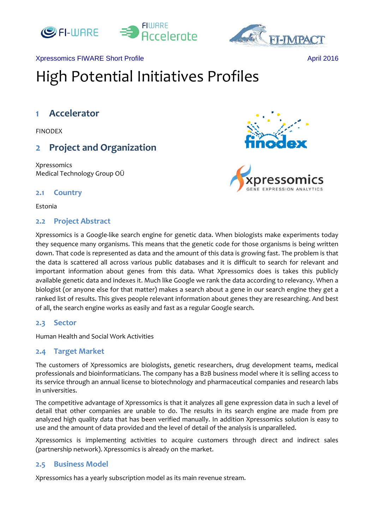



#### Xpressomics FIWARE Short Profile April 2016

# High Potential Initiatives Profiles

# **1 Accelerator**

FINODEX

# **2 Project and Organization**

Xpressomics Medical Technology Group OÜ

## **2.1 Country**

Estonia

## **2.2 Project Abstract**

Xpressomics is a Google‐like search engine for genetic data. When biologists make experiments today they sequence many organisms. This means that the genetic code for those organisms is being written down. That code is represented as data and the amount of this data is growing fast. The problem is that the data is scattered all across various public databases and it is difficult to search for relevant and important information about genes from this data. What Xpressomics does is takes this publicly available genetic data and indexes it. Much like Google we rank the data according to relevancy. When a biologist (or anyone else for that matter) makes a search about a gene in our search engine they get a ranked list of results. This gives people relevant information about genes they are researching. And best of all, the search engine works as easily and fast as a regular Google search.

## **2.3 Sector**

Human Health and Social Work Activities

#### **2.4 Target Market**

The customers of Xpressomics are biologists, genetic researchers, drug development teams, medical professionals and bioinformaticians. The company has a B2B business model where it is selling access to its service through an annual license to biotechnology and pharmaceutical companies and research labs in universities.

The competitive advantage of Xpressomics is that it analyzes all gene expression data in such a level of detail that other companies are unable to do. The results in its search engine are made from pre analyzed high quality data that has been verified manually. In addition Xpressomics solution is easy to use and the amount of data provided and the level of detail of the analysis is unparalleled.

Xpressomics is implementing activities to acquire customers through direct and indirect sales (partnership network). Xpressomics is already on the market.

## **2.5 Business Model**

Xpressomics has a yearly subscription model as its main revenue stream.